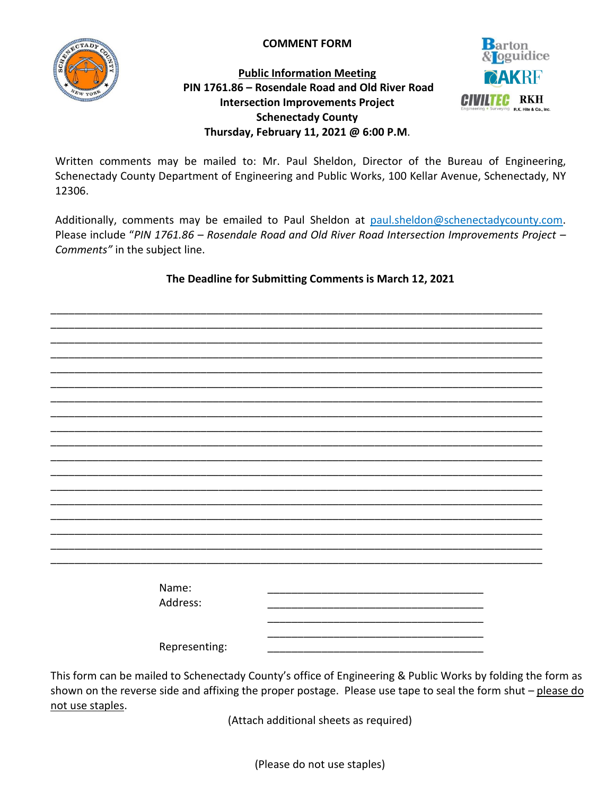

**COMMENT FORM**

## **Public Information Meeting PIN 1761.86 – Rosendale Road and Old River Road Intersection Improvements Project Schenectady County Thursday, February 11, 2021 @ 6:00 P.M**.



Written comments may be mailed to: Mr. Paul Sheldon, Director of the Bureau of Engineering, Schenectady County Department of Engineering and Public Works, 100 Kellar Avenue, Schenectady, NY 12306.

Additionally, comments may be emailed to Paul Sheldon at [paul.sheldon@schenectadycounty.com.](mailto:paul.sheldon@schenectadycounty.com) Please include "*PIN 1761.86 – Rosendale Road and Old River Road Intersection Improvements Project – Comments"* in the subject line.

## **The Deadline for Submitting Comments is March 12, 2021**

\_\_\_\_\_\_\_\_\_\_\_\_\_\_\_\_\_\_\_\_\_\_\_\_\_\_\_\_\_\_\_\_\_\_\_\_\_\_\_\_\_\_\_\_\_\_\_\_\_\_\_\_\_\_\_\_\_\_\_\_\_\_\_\_\_\_\_\_\_\_\_\_\_\_\_\_\_\_\_\_\_\_

\_\_\_\_\_\_\_\_\_\_\_\_\_\_\_\_\_\_\_\_\_\_\_\_\_\_\_\_\_\_\_\_\_\_\_\_\_\_\_\_\_\_\_\_\_\_\_\_\_\_\_\_\_\_\_\_\_\_\_\_\_\_\_\_\_\_\_\_\_\_\_\_\_\_\_\_\_\_\_\_\_\_ \_\_\_\_\_\_\_\_\_\_\_\_\_\_\_\_\_\_\_\_\_\_\_\_\_\_\_\_\_\_\_\_\_\_\_\_\_\_\_\_\_\_\_\_\_\_\_\_\_\_\_\_\_\_\_\_\_\_\_\_\_\_\_\_\_\_\_\_\_\_\_\_\_\_\_\_\_\_\_\_\_\_ \_\_\_\_\_\_\_\_\_\_\_\_\_\_\_\_\_\_\_\_\_\_\_\_\_\_\_\_\_\_\_\_\_\_\_\_\_\_\_\_\_\_\_\_\_\_\_\_\_\_\_\_\_\_\_\_\_\_\_\_\_\_\_\_\_\_\_\_\_\_\_\_\_\_\_\_\_\_\_\_\_\_ \_\_\_\_\_\_\_\_\_\_\_\_\_\_\_\_\_\_\_\_\_\_\_\_\_\_\_\_\_\_\_\_\_\_\_\_\_\_\_\_\_\_\_\_\_\_\_\_\_\_\_\_\_\_\_\_\_\_\_\_\_\_\_\_\_\_\_\_\_\_\_\_\_\_\_\_\_\_\_\_\_\_ \_\_\_\_\_\_\_\_\_\_\_\_\_\_\_\_\_\_\_\_\_\_\_\_\_\_\_\_\_\_\_\_\_\_\_\_\_\_\_\_\_\_\_\_\_\_\_\_\_\_\_\_\_\_\_\_\_\_\_\_\_\_\_\_\_\_\_\_\_\_\_\_\_\_\_\_\_\_\_\_\_\_ \_\_\_\_\_\_\_\_\_\_\_\_\_\_\_\_\_\_\_\_\_\_\_\_\_\_\_\_\_\_\_\_\_\_\_\_\_\_\_\_\_\_\_\_\_\_\_\_\_\_\_\_\_\_\_\_\_\_\_\_\_\_\_\_\_\_\_\_\_\_\_\_\_\_\_\_\_\_\_\_\_\_ \_\_\_\_\_\_\_\_\_\_\_\_\_\_\_\_\_\_\_\_\_\_\_\_\_\_\_\_\_\_\_\_\_\_\_\_\_\_\_\_\_\_\_\_\_\_\_\_\_\_\_\_\_\_\_\_\_\_\_\_\_\_\_\_\_\_\_\_\_\_\_\_\_\_\_\_\_\_\_\_\_\_ \_\_\_\_\_\_\_\_\_\_\_\_\_\_\_\_\_\_\_\_\_\_\_\_\_\_\_\_\_\_\_\_\_\_\_\_\_\_\_\_\_\_\_\_\_\_\_\_\_\_\_\_\_\_\_\_\_\_\_\_\_\_\_\_\_\_\_\_\_\_\_\_\_\_\_\_\_\_\_\_\_\_ \_\_\_\_\_\_\_\_\_\_\_\_\_\_\_\_\_\_\_\_\_\_\_\_\_\_\_\_\_\_\_\_\_\_\_\_\_\_\_\_\_\_\_\_\_\_\_\_\_\_\_\_\_\_\_\_\_\_\_\_\_\_\_\_\_\_\_\_\_\_\_\_\_\_\_\_\_\_\_\_\_\_ \_\_\_\_\_\_\_\_\_\_\_\_\_\_\_\_\_\_\_\_\_\_\_\_\_\_\_\_\_\_\_\_\_\_\_\_\_\_\_\_\_\_\_\_\_\_\_\_\_\_\_\_\_\_\_\_\_\_\_\_\_\_\_\_\_\_\_\_\_\_\_\_\_\_\_\_\_\_\_\_\_\_ \_\_\_\_\_\_\_\_\_\_\_\_\_\_\_\_\_\_\_\_\_\_\_\_\_\_\_\_\_\_\_\_\_\_\_\_\_\_\_\_\_\_\_\_\_\_\_\_\_\_\_\_\_\_\_\_\_\_\_\_\_\_\_\_\_\_\_\_\_\_\_\_\_\_\_\_\_\_\_\_\_\_ \_\_\_\_\_\_\_\_\_\_\_\_\_\_\_\_\_\_\_\_\_\_\_\_\_\_\_\_\_\_\_\_\_\_\_\_\_\_\_\_\_\_\_\_\_\_\_\_\_\_\_\_\_\_\_\_\_\_\_\_\_\_\_\_\_\_\_\_\_\_\_\_\_\_\_\_\_\_\_\_\_\_ \_\_\_\_\_\_\_\_\_\_\_\_\_\_\_\_\_\_\_\_\_\_\_\_\_\_\_\_\_\_\_\_\_\_\_\_\_\_\_\_\_\_\_\_\_\_\_\_\_\_\_\_\_\_\_\_\_\_\_\_\_\_\_\_\_\_\_\_\_\_\_\_\_\_\_\_\_\_\_\_\_\_ \_\_\_\_\_\_\_\_\_\_\_\_\_\_\_\_\_\_\_\_\_\_\_\_\_\_\_\_\_\_\_\_\_\_\_\_\_\_\_\_\_\_\_\_\_\_\_\_\_\_\_\_\_\_\_\_\_\_\_\_\_\_\_\_\_\_\_\_\_\_\_\_\_\_\_\_\_\_\_\_\_\_ \_\_\_\_\_\_\_\_\_\_\_\_\_\_\_\_\_\_\_\_\_\_\_\_\_\_\_\_\_\_\_\_\_\_\_\_\_\_\_\_\_\_\_\_\_\_\_\_\_\_\_\_\_\_\_\_\_\_\_\_\_\_\_\_\_\_\_\_\_\_\_\_\_\_\_\_\_\_\_\_\_\_ \_\_\_\_\_\_\_\_\_\_\_\_\_\_\_\_\_\_\_\_\_\_\_\_\_\_\_\_\_\_\_\_\_\_\_\_\_\_\_\_\_\_\_\_\_\_\_\_\_\_\_\_\_\_\_\_\_\_\_\_\_\_\_\_\_\_\_\_\_\_\_\_\_\_\_\_\_\_\_\_\_\_ \_\_\_\_\_\_\_\_\_\_\_\_\_\_\_\_\_\_\_\_\_\_\_\_\_\_\_\_\_\_\_\_\_\_\_\_\_\_\_\_\_\_\_\_\_\_\_\_\_\_\_\_\_\_\_\_\_\_\_\_\_\_\_\_\_\_\_\_\_\_\_\_\_\_\_\_\_\_\_\_\_\_ Name: \_\_\_\_\_\_\_\_\_\_\_\_\_\_\_\_\_\_\_\_\_\_\_\_\_\_\_\_\_\_\_\_\_\_\_\_ Address: \_\_\_\_\_\_\_\_\_\_\_\_\_\_\_\_\_\_\_\_\_\_\_\_\_\_\_\_\_\_\_\_\_\_\_\_ \_\_\_\_\_\_\_\_\_\_\_\_\_\_\_\_\_\_\_\_\_\_\_\_\_\_\_\_\_\_\_\_\_\_\_\_ Representing:

This form can be mailed to Schenectady County's office of Engineering & Public Works by folding the form as shown on the reverse side and affixing the proper postage. Please use tape to seal the form shut – please do not use staples.

(Attach additional sheets as required)

(Please do not use staples)